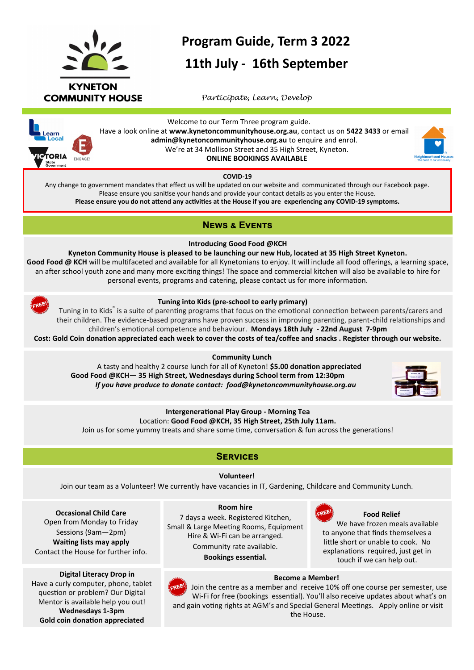

# **Program Guide, Term 3 2022**

## **11th July - 16th September**

 *Participate, Learn, Develop*



Welcome to our Term Three program guide. Have a look online at **www.kynetoncommunityhouse.org.au**, contact us on **5422 3433** or email **admin@kynetoncommunityhouse.org.au** to enquire and enrol. We're at 34 Mollison Street and 35 High Street, Kyneton.  **ONLINE BOOKINGS AVAILABLE**

**COVID-19**

Any change to government mandates that effect us will be updated on our website and communicated through our Facebook page. Please ensure you sanitise your hands and provide your contact details as you enter the House. **Please ensure you do not attend any activities at the House if you are experiencing any COVID-19 symptoms.**

## **News & Events**

**Introducing Good Food @KCH**

**Kyneton Community House is pleased to be launching our new Hub, located at 35 High Street Kyneton.** Good Food @ KCH will be multifaceted and available for all Kynetonians to enjoy. It will include all food offerings, a learning space, an after school youth zone and many more exciting things! The space and commercial kitchen will also be available to hire for personal events, programs and catering, please contact us for more information.



#### **Tuning into Kids (pre-school to early primary)**

Tuning in to Kids<sup>®</sup> is a suite of parenting programs that focus on the emotional connection between parents/carers and their children. The evidence-based programs have proven success in improving parenting, parent-child relationships and children's emotional competence and behaviour. **Mondays 18th July - 22nd August 7-9pm** 

**Cost: Gold Coin donation appreciated each week to cover the costs of tea/coffee and snacks . Register through our website.**

#### **Community Lunch**

 A tasty and healthy 2 course lunch for all of Kyneton! **\$5.00 donation appreciated Good Food @KCH— 35 High Street, Wednesdays during School term from 12:30pm** *If you have produce to donate contact: food@kynetoncommunityhouse.org.au*



## **Intergenerational Play Group - Morning Tea** Location: **Good Food @KCH, 35 High Street, 25th July 11am.**

Join us for some yummy treats and share some time, conversation & fun across the generations!

## **Services**

**Volunteer!**

Join our team as a Volunteer! We currently have vacancies in IT, Gardening, Childcare and Community Lunch.

**Occasional Child Care** Open from Monday to Friday Sessions (9am—2pm) **Waiting lists may apply** Contact the House for further info.

 **Digital Literacy Drop in** Have a curly computer, phone, tablet question or problem? Our Digital Mentor is available help you out! **Wednesdays 1-3pm Gold coin donation appreciated**

#### **Room hire**

7 days a week. Registered Kitchen, Small & Large Meeting Rooms, Equipment Hire & Wi-Fi can be arranged. Community rate available.

**Bookings essential.**



 **Food Relief**

We have frozen meals available to anyone that finds themselves a little short or unable to cook. No explanations required, just get in touch if we can help out.



#### **Become a Member!**

Join the centre as a member and receive 10% off one course per semester, use Wi-Fi for free (bookings essential). You'll also receive updates about what's on and gain voting rights at AGM's and Special General Meetings. Apply online or visit the House.